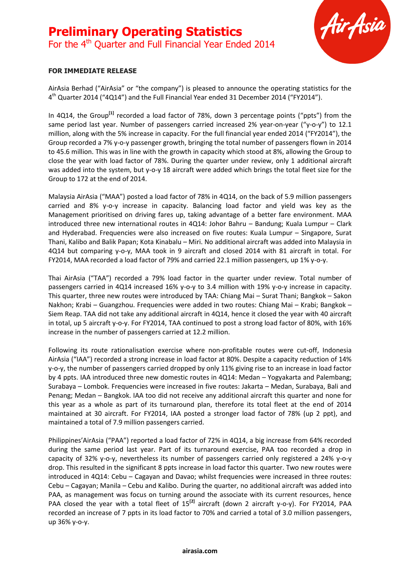# **Preliminary Operating Statistics** For the 4<sup>th</sup> Quarter and Full Financial Year Ended 2014



### **FOR IMMEDIATE RELEASE**

AirAsia Berhad ("AirAsia" or "the company") is pleased to announce the operating statistics for the 4<sup>th</sup> Quarter 2014 ("4Q14") and the Full Financial Year ended 31 December 2014 ("FY2014").

In 4Q14, the Group**[1]** recorded a load factor of 78%, down 3 percentage points ("ppts") from the same period last year. Number of passengers carried increased 2% year-on-year ("y-o-y") to 12.1 million, along with the 5% increase in capacity. For the full financial year ended 2014 ("FY2014"), the Group recorded a 7% y-o-y passenger growth, bringing the total number of passengers flown in 2014 to 45.6 million. This was in line with the growth in capacity which stood at 8%, allowing the Group to close the year with load factor of 78%. During the quarter under review, only 1 additional aircraft was added into the system, but y-o-y 18 aircraft were added which brings the total fleet size for the Group to 172 at the end of 2014.

Malaysia AirAsia ("MAA") posted a load factor of 78% in 4Q14, on the back of 5.9 million passengers carried and 8% y-o-y increase in capacity. Balancing load factor and yield was key as the Management prioritised on driving fares up, taking advantage of a better fare environment. MAA introduced three new international routes in 4Q14: Johor Bahru – Bandung; Kuala Lumpur – Clark and Hyderabad. Frequencies were also increased on five routes: Kuala Lumpur – Singapore, Surat Thani, Kalibo and Balik Papan; Kota Kinabalu – Miri. No additional aircraft was added into Malaysia in 4Q14 but comparing y-o-y, MAA took in 9 aircraft and closed 2014 with 81 aircraft in total. For FY2014, MAA recorded a load factor of 79% and carried 22.1 million passengers, up 1% y-o-y.

Thai AirAsia ("TAA") recorded a 79% load factor in the quarter under review. Total number of passengers carried in 4Q14 increased 16% y-o-y to 3.4 million with 19% y-o-y increase in capacity. This quarter, three new routes were introduced by TAA: Chiang Mai – Surat Thani; Bangkok – Sakon Nakhon; Krabi – Guangzhou. Frequencies were added in two routes: Chiang Mai – Krabi; Bangkok – Siem Reap. TAA did not take any additional aircraft in 4Q14, hence it closed the year with 40 aircraft in total, up 5 aircraft y-o-y. For FY2014, TAA continued to post a strong load factor of 80%, with 16% increase in the number of passengers carried at 12.2 million.

Following its route rationalisation exercise where non-profitable routes were cut-off, Indonesia AirAsia ("IAA") recorded a strong increase in load factor at 80%. Despite a capacity reduction of 14% y-o-y, the number of passengers carried dropped by only 11% giving rise to an increase in load factor by 4 ppts. IAA introduced three new domestic routes in 4Q14: Medan – Yogyakarta and Palembang; Surabaya – Lombok. Frequencies were increased in five routes: Jakarta – Medan, Surabaya, Bali and Penang; Medan – Bangkok. IAA too did not receive any additional aircraft this quarter and none for this year as a whole as part of its turnaround plan, therefore its total fleet at the end of 2014 maintained at 30 aircraft. For FY2014, IAA posted a stronger load factor of 78% (up 2 ppt), and maintained a total of 7.9 million passengers carried.

Philippines'AirAsia ("PAA") reported a load factor of 72% in 4Q14, a big increase from 64% recorded during the same period last year. Part of its turnaround exercise, PAA too recorded a drop in capacity of 32% y-o-y, nevertheless its number of passengers carried only registered a 24% y-o-y drop. This resulted in the significant 8 ppts increase in load factor this quarter. Two new routes were introduced in 4Q14: Cebu – Cagayan and Davao; whilst frequencies were increased in three routes: Cebu – Cagayan; Manila – Cebu and Kalibo. During the quarter, no additional aircraft was added into PAA, as management was focus on turning around the associate with its current resources, hence PAA closed the year with a total fleet of 15<sup>[2]</sup> aircraft (down 2 aircraft y-o-y). For FY2014, PAA recorded an increase of 7 ppts in its load factor to 70% and carried a total of 3.0 million passengers, up 36% y-o-y.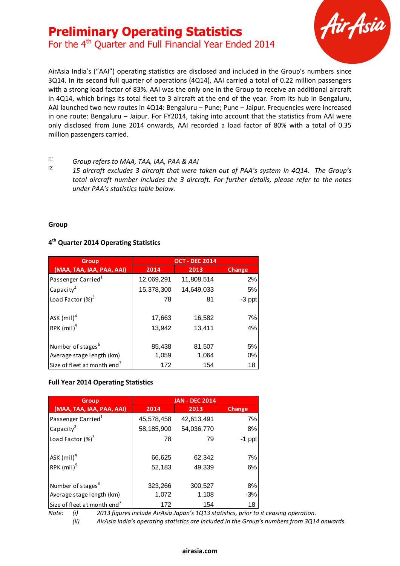For the 4<sup>th</sup> Quarter and Full Financial Year Ended 2014



AirAsia India's ("AAI") operating statistics are disclosed and included in the Group's numbers since 3Q14. In its second full quarter of operations (4Q14), AAI carried a total of 0.22 million passengers with a strong load factor of 83%. AAI was the only one in the Group to receive an additional aircraft in 4Q14, which brings its total fleet to 3 aircraft at the end of the year. From its hub in Bengaluru, AAI launched two new routes in 4Q14: Bengaluru – Pune; Pune – Jaipur. Frequencies were increased in one route: Bengaluru – Jaipur. For FY2014, taking into account that the statistics from AAI were only disclosed from June 2014 onwards, AAI recorded a load factor of 80% with a total of 0.35 million passengers carried.

# [1] *Group refers to MAA, TAA, IAA, PAA & AAI*

[2] *15 aircraft excludes 3 aircraft that were taken out of PAA's system in 4Q14. The Group's total aircraft number includes the 3 aircraft. For further details, please refer to the notes under PAA's statistics table below.*

### **Group**

## **4 th Quarter 2014 Operating Statistics**

| <b>Group</b>                            | <b>OCT - DEC 2014</b> |                  |          |
|-----------------------------------------|-----------------------|------------------|----------|
| (MAA, TAA, IAA, PAA, AAI)               | 2014                  | 2013             | Change   |
| Passenger Carried <sup>1</sup>          | 12,069,291            | 11,808,514       | 2%       |
| Capacity <sup>2</sup>                   | 15,378,300            | 14,649,033       | 5%       |
| Load Factor $(\%)^3$                    | 78                    | 81               | $-3$ ppt |
| ASK $(mil)^4$<br>RPK $(mil)^5$          | 17,663<br>13,942      | 16,582<br>13,411 | 7%<br>4% |
| Number of stages <sup>6</sup>           | 85,438                | 81,507           | 5%       |
| Average stage length (km)               | 1,059                 | 1,064            | 0%       |
| Size of fleet at month end <sup>7</sup> | 172                   | 154              | 18       |

#### **Full Year 2014 Operating Statistics**

| (MAA, TAA, IAA, PAA, AAI)                                            | 2014       | 2013                                                                                                                                                                                | <b>Change</b> |
|----------------------------------------------------------------------|------------|-------------------------------------------------------------------------------------------------------------------------------------------------------------------------------------|---------------|
| Passenger Carried <sup>1</sup>                                       | 12,069,291 | 11,808,514                                                                                                                                                                          | 2%            |
| Capacity <sup>2</sup>                                                | 15,378,300 | 14,649,033                                                                                                                                                                          | 5%            |
| Load Factor $(\%)^3$                                                 | 78         | 81                                                                                                                                                                                  | $-3$ ppt      |
| ASK $(mil)^4$                                                        | 17,663     | 16,582                                                                                                                                                                              | 7%            |
| RPK (mil) <sup>5</sup>                                               | 13,942     | 13,411                                                                                                                                                                              | 4%            |
| Number of stages <sup>6</sup>                                        | 85,438     | 81,507                                                                                                                                                                              | 5%            |
| Average stage length (km)                                            | 1,059      | 1,064                                                                                                                                                                               | 0%            |
| Size of fleet at month end <sup>7</sup>                              | 172        | 154                                                                                                                                                                                 | 18            |
|                                                                      |            |                                                                                                                                                                                     |               |
| <b>Group</b>                                                         |            | <b>JAN - DEC 2014</b>                                                                                                                                                               |               |
| (MAA, TAA, IAA, PAA, AAI)                                            | 2014       | 2013                                                                                                                                                                                | <b>Change</b> |
| Passenger Carried <sup>1</sup>                                       | 45,578,458 | 42,613,491                                                                                                                                                                          | 7%            |
| Capacity <sup>2</sup>                                                | 58,185,900 | 54,036,770                                                                                                                                                                          | 8%            |
| Load Factor $(\%)^3$                                                 | 78         | 79                                                                                                                                                                                  | $-1$ ppt      |
| ASK $(mil)^4$                                                        | 66,625     | 62,342                                                                                                                                                                              | 7%            |
| RPK $(mil)^5$                                                        | 52,183     | 49,339                                                                                                                                                                              | 6%            |
| Number of stages <sup>6</sup>                                        | 323,266    | 300,527                                                                                                                                                                             | 8%            |
|                                                                      | 1,072      | 1,108                                                                                                                                                                               | $-3%$         |
| Average stage length (km)<br>Size of fleet at month end <sup>7</sup> | 172        | 154                                                                                                                                                                                 | 18            |
| Note:<br>(i)<br>(ii)                                                 |            | 2013 figures include AirAsia Japan's 1Q13 statistics, prior to it ceasing operation.<br>AirAsia India's operating statistics are included in the Group's numbers from 3Q14 onwards. |               |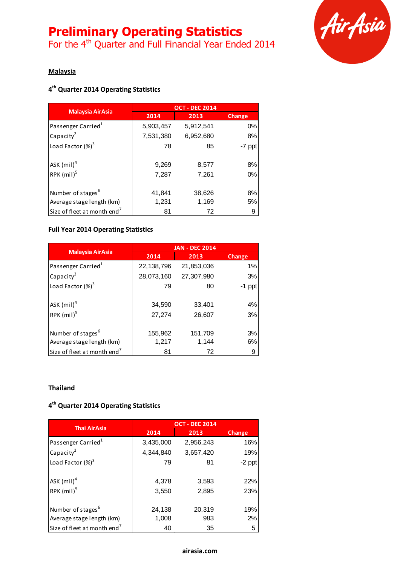For the 4<sup>th</sup> Quarter and Full Financial Year Ended 2014



## **Malaysia**

## **4 th Quarter 2014 Operating Statistics**

| <b>Malaysia AirAsia</b>                 | <b>OCT - DEC 2014</b> |           |          |
|-----------------------------------------|-----------------------|-----------|----------|
|                                         | 2014                  | 2013      | Change   |
| Passenger Carried <sup>1</sup>          | 5,903,457             | 5,912,541 | 0%       |
| Capacity <sup>2</sup>                   | 7,531,380             | 6,952,680 | 8%       |
| Load Factor $(\%)^3$                    | 78                    | 85        | $-7$ ppt |
| ASK $(mil)^4$                           | 9,269                 | 8,577     | 8%       |
| RPK (mil) <sup>5</sup>                  | 7,287                 | 7,261     | 0%       |
| Number of stages <sup>6</sup>           | 41,841                | 38,626    | 8%       |
| Average stage length (km)               | 1,231                 | 1,169     | 5%       |
| Size of fleet at month end <sup>7</sup> | 81                    | 72        | 9        |

### **Full Year 2014 Operating Statistics**

| <b>Malaysia AirAsia</b>                 | <b>JAN - DEC 2014</b> |            |               |
|-----------------------------------------|-----------------------|------------|---------------|
|                                         | 2014                  | 2013       | <b>Change</b> |
| Passenger Carried <sup>1</sup>          | 22,138,796            | 21,853,036 | 1%            |
| Capacity <sup>2</sup>                   | 28,073,160            | 27,307,980 | 3%            |
| Load Factor $(\%)^3$                    | 79                    | 80         | -1<br>ppt     |
| ASK $(mil)^4$                           | 34,590                | 33,401     | 4%            |
| RPK $(mil)^5$                           | 27,274                | 26,607     | 3%            |
| Number of stages <sup>6</sup>           | 155,962               | 151,709    | 3%            |
| Average stage length (km)               | 1,217                 | 1,144      | 6%            |
| Size of fleet at month end <sup>7</sup> | 81                    | 72         | 9             |

### **Thailand**

### **4 th Quarter 2014 Operating Statistics**

| <b>Thai AirAsia</b>                                        | <b>OCT - DEC 2014</b> |                |            |
|------------------------------------------------------------|-----------------------|----------------|------------|
|                                                            | 2014                  | 2013           | Change     |
| Passenger Carried <sup>1</sup>                             | 3,435,000             | 2,956,243      | 16%        |
| Capacity <sup>2</sup>                                      | 4,344,840             | 3,657,420      | 19%        |
| Load Factor $(\%)^3$                                       | 79                    | 81             | -2 ppt     |
| ASK $(mil)^4$<br>RPK $(mil)^5$                             | 4,378<br>3,550        | 3,593<br>2,895 | 22%<br>23% |
| Number of stages <sup>6</sup><br>Average stage length (km) | 24,138<br>1,008       | 20,319<br>983  | 19%<br>2%  |
| Size of fleet at month end <sup>7</sup>                    | 40                    | 35             | 5          |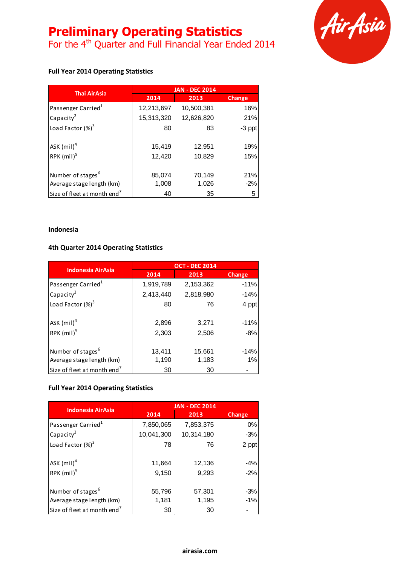For the 4<sup>th</sup> Quarter and Full Financial Year Ended 2014



### **Full Year 2014 Operating Statistics**

| <b>Thai AirAsia</b>                       | <b>JAN - DEC 2014</b> |                  |               |
|-------------------------------------------|-----------------------|------------------|---------------|
|                                           | 2014                  | 2013             | <b>Change</b> |
| Passenger Carried <sup>1</sup>            | 12,213,697            | 10,500,381       | 16%           |
| Capacity <sup>2</sup>                     | 15,313,320            | 12,626,820       | 21%           |
| Load Factor $(\%)^3$                      | 80                    | 83               | -3 ppt        |
| $ASK$ (mil) <sup>4</sup><br>RPK $(mil)^5$ | 15,419<br>12,420      | 12,951<br>10,829 | 19%<br>15%    |
| Number of stages <sup>6</sup>             | 85,074                | 70,149           | 21%           |
| Average stage length (km)                 | 1,008                 | 1,026            | $-2%$         |
| Size of fleet at month end <sup>7</sup>   | 40                    | 35               | 5             |

#### **Indonesia**

### **4th Quarter 2014 Operating Statistics**

| <b>Indonesia AirAsia</b>                | <b>OCT - DEC 2014</b> |           |               |
|-----------------------------------------|-----------------------|-----------|---------------|
|                                         | 2014                  | 2013      | <b>Change</b> |
| Passenger Carried <sup>1</sup>          | 1,919,789             | 2,153,362 | $-11%$        |
| Capacity <sup>2</sup>                   | 2,413,440             | 2,818,980 | $-14%$        |
| Load Factor $(\%)^3$                    | 80                    | 76        | 4 ppt         |
| ASK (mil) <sup>4</sup>                  | 2,896                 | 3,271     | $-11%$        |
| RPK $(mil)^5$                           | 2,303                 | 2,506     | $-8%$         |
| Number of stages <sup>6</sup>           | 13,411                | 15,661    | $-14%$        |
| Average stage length (km)               | 1,190                 | 1,183     | $1\%$         |
| Size of fleet at month end <sup>7</sup> | 30                    | 30        |               |

### **Full Year 2014 Operating Statistics**

| <b>Indonesia AirAsia</b>                | <b>JAN - DEC 2014</b> |            |        |
|-----------------------------------------|-----------------------|------------|--------|
|                                         | 2014                  | 2013       | Change |
| Passenger Carried <sup>1</sup>          | 7,850,065             | 7,853,375  | 0%     |
| Capacity <sup>2</sup>                   | 10,041,300            | 10,314,180 | $-3%$  |
| Load Factor $(\%)^3$                    | 78                    | 76         | 2 ppt  |
| ASK $(mil)^4$                           | 11,664                | 12,136     | $-4%$  |
| RPK $(mil)^5$                           | 9,150                 | 9,293      | $-2%$  |
| Number of stages <sup>6</sup>           | 55,796                | 57,301     | $-3%$  |
| Average stage length (km)               | 1,181                 | 1,195      | $-1%$  |
| Size of fleet at month end <sup>7</sup> | 30                    | 30         |        |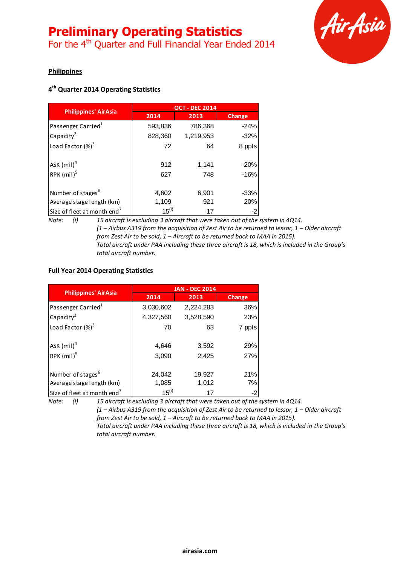For the 4<sup>th</sup> Quarter and Full Financial Year Ended 2014



### **Philippines**

## **4 th Quarter 2014 Operating Statistics**

|                                         | <b>OCT - DEC 2014</b> |           |               |
|-----------------------------------------|-----------------------|-----------|---------------|
| <b>Philippines' AirAsia</b>             | 2014                  | 2013      | <b>Change</b> |
| Passenger Carried <sup>1</sup>          | 593,836               | 786,368   | $-24%$        |
| Capacity <sup>2</sup>                   | 828,360               | 1,219,953 | $-32%$        |
| Load Factor $(\%)^3$                    | 72                    | 64        | 8 ppts        |
| ASK $(mil)^4$                           | 912                   | 1,141     | $-20%$        |
| RPK (mil) <sup>5</sup>                  | 627                   | 748       | $-16%$        |
| Number of stages <sup>6</sup>           | 4,602                 | 6,901     | $-33%$        |
| Average stage length (km)               | 1,109                 | 921       | 20%           |
| Size of fleet at month end <sup>7</sup> | $15^{(i)}$            | 17        |               |

*Note: (i) 15 aircraft is excluding 3 aircraft that were taken out of the system in 4Q14. (1 – Airbus A319 from the acquisition of Zest Air to be returned to lessor, 1 – Older aircraft from Zest Air to be sold, 1 – Aircraft to be returned back to MAA in 2015). Total aircraft under PAA including these three aircraft is 18, which is included in the Group's total aircraft number.* 

### **Full Year 2014 Operating Statistics**

|                                         | <b>JAN - DEC 2014</b> |           |        |
|-----------------------------------------|-----------------------|-----------|--------|
| <b>Philippines' AirAsia</b>             | 2014                  | 2013      | Change |
| Passenger Carried <sup>1</sup>          | 3,030,602             | 2,224,283 | 36%    |
| Capacity $^2$                           | 4,327,560             | 3,528,590 | 23%    |
| Load Factor $(\%)^3$                    | 70                    | 63        | 7 ppts |
| $ASK$ (mil) <sup>4</sup>                | 4,646                 | 3,592     | 29%    |
| RPK $(mil)^5$                           | 3,090                 | 2,425     | 27%    |
| Number of stages <sup>6</sup>           | 24,042                | 19,927    | 21%    |
| Average stage length (km)               | 1,085                 | 1,012     | 7%     |
| Size of fleet at month end <sup>7</sup> | $15^{(i)}$            | 17        | $-2$   |

*Note: (i) 15 aircraft is excluding 3 aircraft that were taken out of the system in 4Q14. (1 – Airbus A319 from the acquisition of Zest Air to be returned to lessor, 1 – Older aircraft from Zest Air to be sold, 1 – Aircraft to be returned back to MAA in 2015). Total aircraft under PAA including these three aircraft is 18, which is included in the Group's total aircraft number.*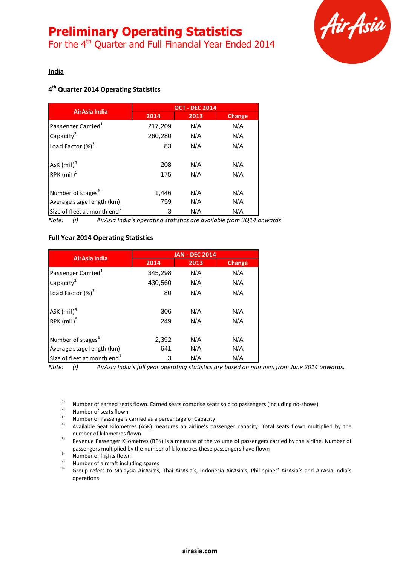For the 4<sup>th</sup> Quarter and Full Financial Year Ended 2014



**India**

# **4 th Quarter 2014 Operating Statistics**

| AirAsia India                           | <b>OCT - DEC 2014</b> |      |               |
|-----------------------------------------|-----------------------|------|---------------|
|                                         | 2014                  | 2013 | <b>Change</b> |
| Passenger Carried <sup>1</sup>          | 217,209               | N/A  | N/A           |
| Capacity <sup>2</sup>                   | 260,280               | N/A  | N/A           |
| Load Factor $(\%)^3$                    | 83                    | N/A  | N/A           |
| ASK $(mil)^4$                           | 208                   | N/A  | N/A           |
| RPK (mil) <sup>5</sup>                  | 175                   | N/A  | N/A           |
| Number of stages <sup>6</sup>           | 1,446                 | N/A  | N/A           |
| Average stage length (km)               | 759                   | N/A  | N/A           |
| Size of fleet at month end <sup>7</sup> | 3                     | N/A  | N/A           |

*Note: (i) AirAsia India's operating statistics are available from 3Q14 onwards*

### **Full Year 2014 Operating Statistics**

| AirAsia India                           | <b>JAN - DEC 2014</b> |      |        |
|-----------------------------------------|-----------------------|------|--------|
|                                         | 2014                  | 2013 | Change |
| Passenger Carried <sup>1</sup>          | 345,298               | N/A  | N/A    |
| Capacity <sup>2</sup>                   | 430,560               | N/A  | N/A    |
| Load Factor (%) <sup>3</sup>            | 80                    | N/A  | N/A    |
| ASK $(mil)^4$                           | 306                   | N/A  | N/A    |
| RPK (mil) <sup>5</sup>                  | 249                   | N/A  | N/A    |
| Number of stages <sup>6</sup>           | 2,392                 | N/A  | N/A    |
| Average stage length (km)               | 641                   | N/A  | N/A    |
| Size of fleet at month end <sup>7</sup> | 3                     | N/A  | N/A    |

*Note: (i) AirAsia India's full year operating statistics are based on numbers from June 2014 onwards.*

(1) Number of earned seats flown. Earned seats comprise seats sold to passengers (including no-shows)

- $\frac{1}{2}$  Number of seats flown
- (3) Number of Passengers carried as a percentage of Capacity

Available Seat Kilometres (ASK) measures an airline's passenger capacity. Total seats flown multiplied by the number of kilometres flown

(5) Revenue Passenger Kilometres (RPK) is a measure of the volume of passengers carried by the airline. Number of passengers multiplied by the number of kilometres these passengers have flown

 $\frac{1}{2}$  Number of flights flown

 $(7)$  Number of aircraft including spares

(8) Group refers to Malaysia AirAsia's, Thai AirAsia's, Indonesia AirAsia's, Philippines' AirAsia's and AirAsia India's operations